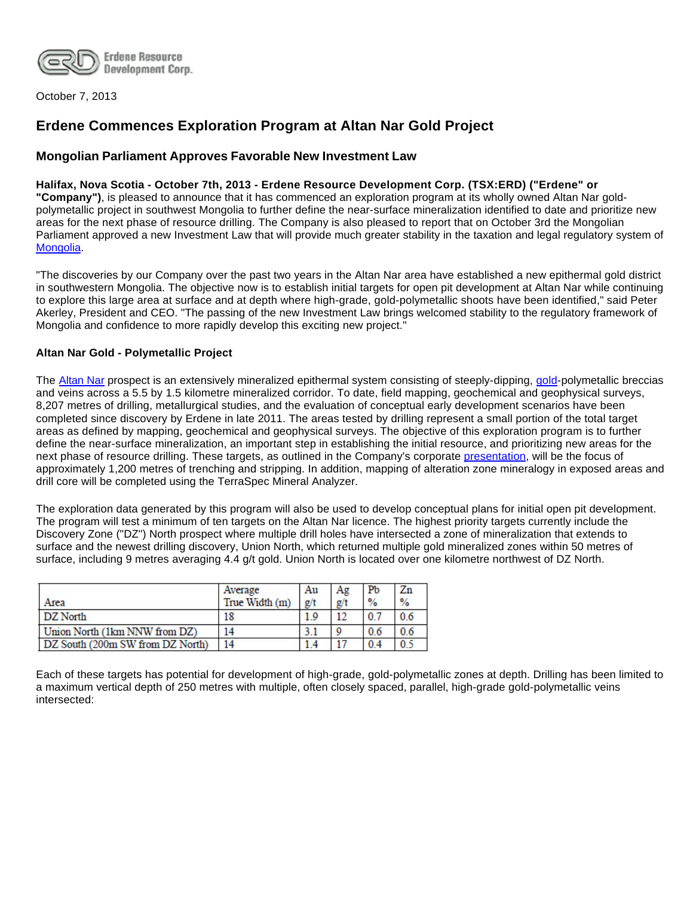

October 7, 2013

# **Erdene Commences Exploration Program at Altan Nar Gold Project**

# **Mongolian Parliament Approves Favorable New Investment Law**

## **Halifax, Nova Scotia - October 7th, 2013 - Erdene Resource Development Corp. (TSX:ERD) ("Erdene" or**

**"Company")**, is pleased to announce that it has commenced an exploration program at its wholly owned Altan Nar goldpolymetallic project in southwest Mongolia to further define the near-surface mineralization identified to date and prioritize new areas for the next phase of resource drilling. The Company is also pleased to report that on October 3rd the Mongolian Parliament approved a new Investment Law that will provide much greater stability in the taxation and legal regulatory system of [Mongolia](http://www.erdene.com/).

"The discoveries by our Company over the past two years in the Altan Nar area have established a new epithermal gold district in southwestern Mongolia. The objective now is to establish initial targets for open pit development at Altan Nar while continuing to explore this large area at surface and at depth where high-grade, gold-polymetallic shoots have been identified," said Peter Akerley, President and CEO. "The passing of the new Investment Law brings welcomed stability to the regulatory framework of Mongolia and confidence to more rapidly develop this exciting new project."

## **Altan Nar Gold - Polymetallic Project**

The [Altan Nar](http://www.erdene.com/projects40/zuunMod42b8.php) prospect is an extensively mineralized epithermal system consisting of steeply-dipping, [gold-](http://www.erdene.com/projects40/zuunMod42b8.php)polymetallic breccias and veins across a 5.5 by 1.5 kilometre mineralized corridor. To date, field mapping, geochemical and geophysical surveys, 8,207 metres of drilling, metallurgical studies, and the evaluation of conceptual early development scenarios have been completed since discovery by Erdene in late 2011. The areas tested by drilling represent a small portion of the total target areas as defined by mapping, geochemical and geophysical surveys. The objective of this exploration program is to further define the near-surface mineralization, an important step in establishing the initial resource, and prioritizing new areas for the next phase of resource drilling. These targets, as outlined in the Company's corporate [presentation,](http://www.erdene.com/assets/pdf/ERD%20Corp%20Update%20260913.pdf) will be the focus of approximately 1,200 metres of trenching and stripping. In addition, mapping of alteration zone mineralogy in exposed areas and drill core will be completed using the TerraSpec Mineral Analyzer.

The exploration data generated by this program will also be used to develop conceptual plans for initial open pit development. The program will test a minimum of ten targets on the Altan Nar licence. The highest priority targets currently include the Discovery Zone ("DZ") North prospect where multiple drill holes have intersected a zone of mineralization that extends to surface and the newest drilling discovery, Union North, which returned multiple gold mineralized zones within 50 metres of surface, including 9 metres averaging 4.4 g/t gold. Union North is located over one kilometre northwest of DZ North.

|                                  | Average        | Au  | Ag  | Pb             | Zn             |
|----------------------------------|----------------|-----|-----|----------------|----------------|
| Area                             | True Width (m) | g/t | g/t | $\frac{9}{6}$  | $\frac{9}{6}$  |
| DZ North                         | 18             | 1.9 | 12  | 0 <sup>7</sup> | 0 <sub>6</sub> |
| Union North (1km NNW from DZ)    | 14             |     |     | 0.6            | 0.6            |
| DZ South (200m SW from DZ North) | 14             |     | 17  | 0.4            | 0.3            |

Each of these targets has potential for development of high-grade, gold-polymetallic zones at depth. Drilling has been limited to a maximum vertical depth of 250 metres with multiple, often closely spaced, parallel, high-grade gold-polymetallic veins intersected: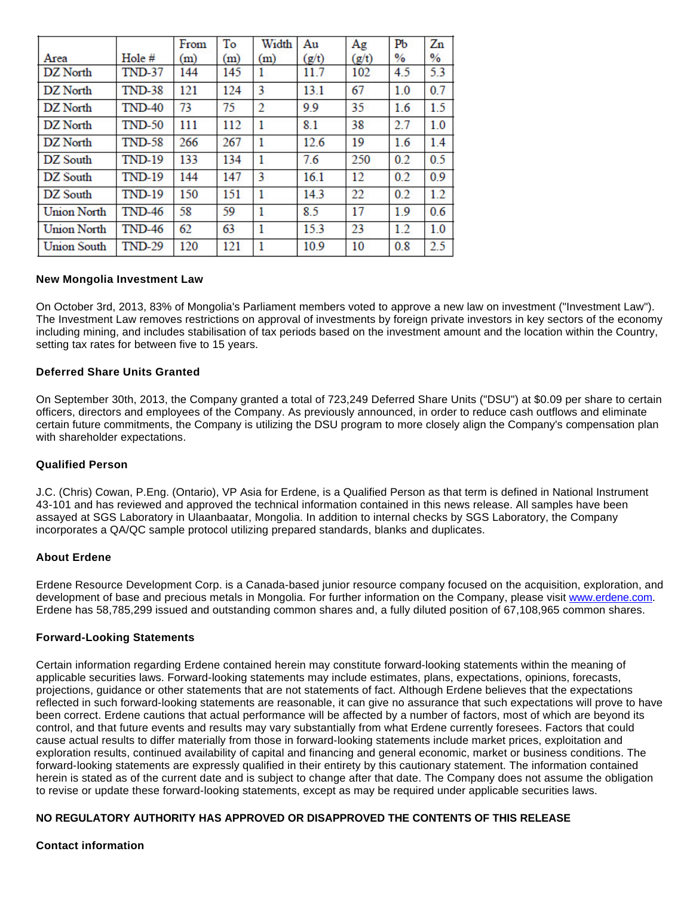|                    |               | From | To  | Width          | Au    | Ag    | PЬ   | Zn            |
|--------------------|---------------|------|-----|----------------|-------|-------|------|---------------|
| Area               | Hole #        | (m)  | (m) | (m)            | (g/t) | (g/t) | $\%$ | $\frac{0}{0}$ |
| DZ North           | <b>TND-37</b> | 144  | 145 | 1              | 11.7  | 102   | 4.5  | 5.3           |
| DZ North           | <b>TND-38</b> | 121  | 124 | 3              | 13.1  | 67    | 1.0  | 0.7           |
| DZ North           | <b>TND-40</b> | 73   | 75  | $\overline{2}$ | 9.9   | 35    | 1.6  | 1.5           |
| DZ North           | <b>TND-50</b> | 111  | 112 | 1              | 8.1   | 38    | 2.7  | 1.0           |
| DZ North           | <b>TND-58</b> | 266  | 267 | 1              | 12.6  | 19    | 1.6  | 1.4           |
| DZ South           | <b>TND-19</b> | 133  | 134 | 1              | 7.6   | 250   | 0.2  | 0.5           |
| DZ South           | <b>TND-19</b> | 144  | 147 | 3              | 16.1  | 12    | 0.2  | 0.9           |
| DZ South           | <b>TND-19</b> | 150  | 151 | 1              | 14.3  | 22    | 0.2  | 1.2           |
| <b>Union North</b> | <b>TND-46</b> | 58   | 59  | 1              | 8.5   | 17    | 1.9  | 0.6           |
| <b>Union North</b> | <b>TND-46</b> | 62   | 63  | 1              | 15.3  | 23    | 1.2  | 1.0           |
| <b>Union South</b> | <b>TND-29</b> | 120  | 121 | 1              | 10.9  | 10    | 0.8  | 2.5           |

#### **New Mongolia Investment Law**

On October 3rd, 2013, 83% of Mongolia's Parliament members voted to approve a new law on investment ("Investment Law"). The Investment Law removes restrictions on approval of investments by foreign private investors in key sectors of the economy including mining, and includes stabilisation of tax periods based on the investment amount and the location within the Country, setting tax rates for between five to 15 years.

## **Deferred Share Units Granted**

On September 30th, 2013, the Company granted a total of 723,249 Deferred Share Units ("DSU") at \$0.09 per share to certain officers, directors and employees of the Company. As previously announced, in order to reduce cash outflows and eliminate certain future commitments, the Company is utilizing the DSU program to more closely align the Company's compensation plan with shareholder expectations.

#### **Qualified Person**

J.C. (Chris) Cowan, P.Eng. (Ontario), VP Asia for Erdene, is a Qualified Person as that term is defined in National Instrument 43-101 and has reviewed and approved the technical information contained in this news release. All samples have been assayed at SGS Laboratory in Ulaanbaatar, Mongolia. In addition to internal checks by SGS Laboratory, the Company incorporates a QA/QC sample protocol utilizing prepared standards, blanks and duplicates.

#### **About Erdene**

Erdene Resource Development Corp. is a Canada-based junior resource company focused on the acquisition, exploration, and development of base and precious metals in Mongolia. For further information on the Company, please visit [www.erdene.com.](http://www.erdene.com/) Erdene has 58,785,299 issued and outstanding common shares and, a fully diluted position of 67,108,965 common shares.

#### **Forward-Looking Statements**

Certain information regarding Erdene contained herein may constitute forward-looking statements within the meaning of applicable securities laws. Forward-looking statements may include estimates, plans, expectations, opinions, forecasts, projections, guidance or other statements that are not statements of fact. Although Erdene believes that the expectations reflected in such forward-looking statements are reasonable, it can give no assurance that such expectations will prove to have been correct. Erdene cautions that actual performance will be affected by a number of factors, most of which are beyond its control, and that future events and results may vary substantially from what Erdene currently foresees. Factors that could cause actual results to differ materially from those in forward-looking statements include market prices, exploitation and exploration results, continued availability of capital and financing and general economic, market or business conditions. The forward-looking statements are expressly qualified in their entirety by this cautionary statement. The information contained herein is stated as of the current date and is subject to change after that date. The Company does not assume the obligation to revise or update these forward-looking statements, except as may be required under applicable securities laws.

# **NO REGULATORY AUTHORITY HAS APPROVED OR DISAPPROVED THE CONTENTS OF THIS RELEASE**

#### **Contact information**